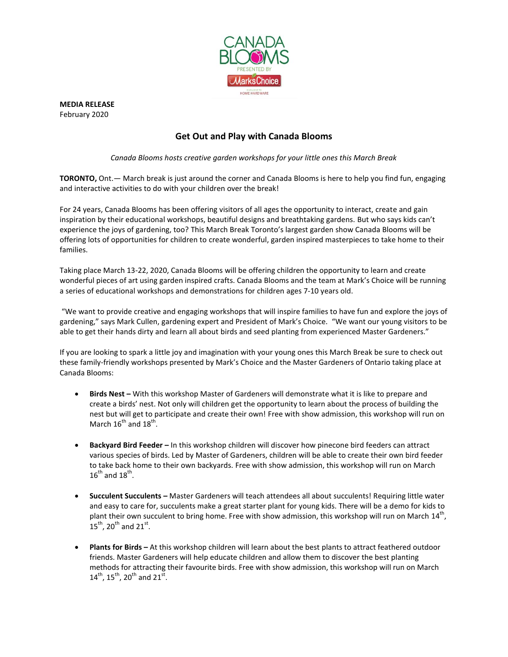

**MEDIA RELEASE** February 2020

## **Get Out and Play with Canada Blooms**

*Canada Blooms hosts creative garden workshops for your little ones this March Break*

**TORONTO,** Ont.— March break is just around the corner and Canada Blooms is here to help you find fun, engaging and interactive activities to do with your children over the break!

For 24 years, Canada Blooms has been offering visitors of all ages the opportunity to interact, create and gain inspiration by their educational workshops, beautiful designs and breathtaking gardens. But who says kids can't experience the joys of gardening, too? This March Break Toronto's largest garden show Canada Blooms will be offering lots of opportunities for children to create wonderful, garden inspired masterpieces to take home to their families.

Taking place March 13-22, 2020, Canada Blooms will be offering children the opportunity to learn and create wonderful pieces of art using garden inspired crafts. Canada Blooms and the team at Mark's Choice will be running a series of educational workshops and demonstrations for children ages 7-10 years old.

"We want to provide creative and engaging workshops that will inspire families to have fun and explore the joys of gardening," says Mark Cullen, gardening expert and President of Mark's Choice. "We want our young visitors to be able to get their hands dirty and learn all about birds and seed planting from experienced Master Gardeners."

If you are looking to spark a little joy and imagination with your young ones this March Break be sure to check out these family-friendly workshops presented by Mark's Choice and the Master Gardeners of Ontario taking place at Canada Blooms:

- **Birds Nest –** With this workshop Master of Gardeners will demonstrate what it is like to prepare and create a birds' nest. Not only will children get the opportunity to learn about the process of building the nest but will get to participate and create their own! Free with show admission, this workshop will run on March  $16^{\text{th}}$  and  $18^{\text{th}}$ .
- **Backyard Bird Feeder –** In this workshop children will discover how pinecone bird feeders can attract various species of birds. Led by Master of Gardeners, children will be able to create their own bird feeder to take back home to their own backyards. Free with show admission, this workshop will run on March  $16^{\text{th}}$  and  $18^{\text{th}}$ .
- **Succulent Succulents –** Master Gardeners will teach attendees all about succulents! Requiring little water and easy to care for, succulents make a great starter plant for young kids. There will be a demo for kids to plant their own succulent to bring home. Free with show admission, this workshop will run on March  $14^{\text{th}}$ ,  $15^{\text{th}}$ , 20<sup>th</sup> and 21<sup>st</sup>.
- **Plants for Birds –** At this workshop children will learn about the best plants to attract feathered outdoor friends. Master Gardeners will help educate children and allow them to discover the best planting methods for attracting their favourite birds. Free with show admission, this workshop will run on March  $14^{\text{th}}$ ,  $15^{\text{th}}$ ,  $20^{\text{th}}$  and  $21^{\text{st}}$ .